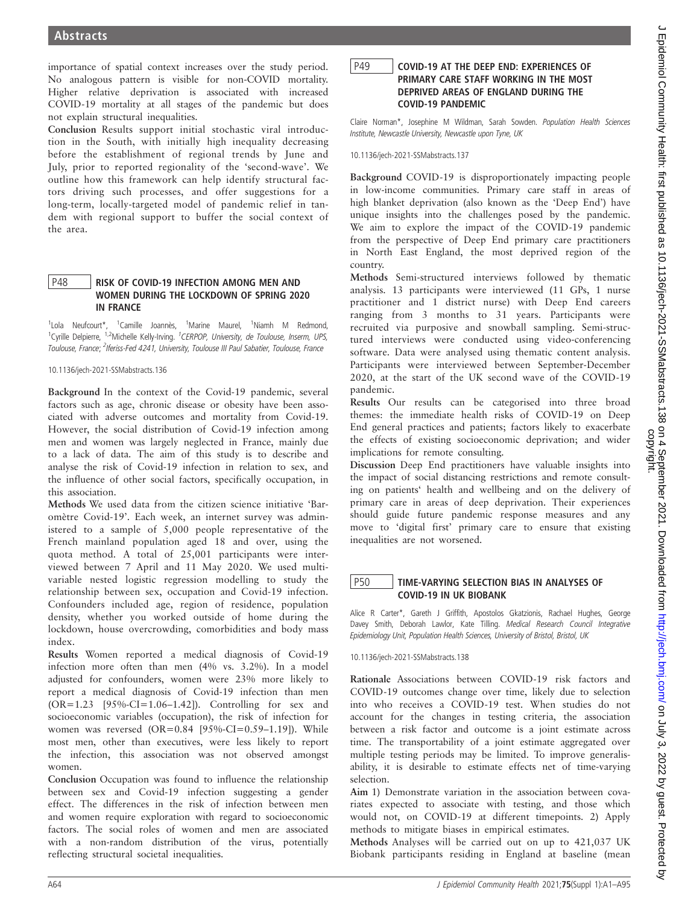importance of spatial context increases over the study period. No analogous pattern is visible for non-COVID mortality. Higher relative deprivation is associated with increased COVID-19 mortality at all stages of the pandemic but does not explain structural inequalities.

Conclusion Results support initial stochastic viral introduction in the South, with initially high inequality decreasing before the establishment of regional trends by June and July, prior to reported regionality of the 'second-wave'. We outline how this framework can help identify structural factors driving such processes, and offer suggestions for a long-term, locally-targeted model of pandemic relief in tandem with regional support to buffer the social context of the area.

## P48 RISK OF COVID-19 INFECTION AMONG MEN AND WOMEN DURING THE LOCKDOWN OF SPRING 2020 IN FRANCE

<sup>1</sup>Lola Neufcourt\*, <sup>1</sup>Camille Joannès, <sup>1</sup>Marine Maurel, <sup>1</sup>Niamh M Redmond,<br><sup>1</sup>Cyrille Delpierre, <sup>1,2</sup>Michelle Kelly-Irving. <sup>7</sup>CERPOP, University, de Toulouse, Inserm, UPS, Toulouse, France; <sup>2</sup>Iferiss-Fed 4241, University, Toulouse III Paul Sabatier, Toulouse, France

10.1136/jech-2021-SSMabstracts.136

Background In the context of the Covid-19 pandemic, several factors such as age, chronic disease or obesity have been associated with adverse outcomes and mortality from Covid-19. However, the social distribution of Covid-19 infection among men and women was largely neglected in France, mainly due to a lack of data. The aim of this study is to describe and analyse the risk of Covid-19 infection in relation to sex, and the influence of other social factors, specifically occupation, in this association.

Methods We used data from the citizen science initiative 'Baromètre Covid-19'. Each week, an internet survey was administered to a sample of 5,000 people representative of the French mainland population aged 18 and over, using the quota method. A total of 25,001 participants were interviewed between 7 April and 11 May 2020. We used multivariable nested logistic regression modelling to study the relationship between sex, occupation and Covid-19 infection. Confounders included age, region of residence, population density, whether you worked outside of home during the lockdown, house overcrowding, comorbidities and body mass index.

Results Women reported a medical diagnosis of Covid-19 infection more often than men (4% vs. 3.2%). In a model adjusted for confounders, women were 23% more likely to report a medical diagnosis of Covid-19 infection than men (OR=1.23 [95%-CI=1.06–1.42]). Controlling for sex and socioeconomic variables (occupation), the risk of infection for women was reversed (OR=0.84 [95%-CI=0.59-1.19]). While most men, other than executives, were less likely to report the infection, this association was not observed amongst women.

Conclusion Occupation was found to influence the relationship between sex and Covid-19 infection suggesting a gender effect. The differences in the risk of infection between men and women require exploration with regard to socioeconomic factors. The social roles of women and men are associated with a non-random distribution of the virus, potentially reflecting structural societal inequalities.

P49 COVID-19 AT THE DEEP END: EXPERIENCES OF PRIMARY CARE STAFF WORKING IN THE MOST DEPRIVED AREAS OF ENGLAND DURING THE COVID-19 PANDEMIC

Claire Norman\*, Josephine M Wildman, Sarah Sowden. Population Health Sciences Institute, Newcastle University, Newcastle upon Tyne, UK

10.1136/jech-2021-SSMabstracts.137

Background COVID-19 is disproportionately impacting people in low-income communities. Primary care staff in areas of high blanket deprivation (also known as the 'Deep End') have unique insights into the challenges posed by the pandemic. We aim to explore the impact of the COVID-19 pandemic from the perspective of Deep End primary care practitioners in North East England, the most deprived region of the country.

Methods Semi-structured interviews followed by thematic analysis. 13 participants were interviewed (11 GPs, 1 nurse practitioner and 1 district nurse) with Deep End careers ranging from 3 months to 31 years. Participants were recruited via purposive and snowball sampling. Semi-structured interviews were conducted using video-conferencing software. Data were analysed using thematic content analysis. Participants were interviewed between September-December 2020, at the start of the UK second wave of the COVID-19 pandemic.

Results Our results can be categorised into three broad themes: the immediate health risks of COVID-19 on Deep End general practices and patients; factors likely to exacerbate the effects of existing socioeconomic deprivation; and wider implications for remote consulting.

Discussion Deep End practitioners have valuable insights into the impact of social distancing restrictions and remote consulting on patients' health and wellbeing and on the delivery of primary care in areas of deep deprivation. Their experiences should guide future pandemic response measures and any move to 'digital first' primary care to ensure that existing inequalities are not worsened.

## **P50** TIME-VARYING SELECTION BIAS IN ANALYSES OF COVID-19 IN UK BIOBANK

Alice R Carter\*, Gareth J Griffith, Apostolos Gkatzionis, Rachael Hughes, George Davey Smith, Deborah Lawlor, Kate Tilling. Medical Research Council Integrative Epidemiology Unit, Population Health Sciences, University of Bristol, Bristol, UK

10.1136/jech-2021-SSMabstracts.138

Rationale Associations between COVID-19 risk factors and COVID-19 outcomes change over time, likely due to selection into who receives a COVID-19 test. When studies do not account for the changes in testing criteria, the association between a risk factor and outcome is a joint estimate across time. The transportability of a joint estimate aggregated over multiple testing periods may be limited. To improve generalisability, it is desirable to estimate effects net of time-varying selection.

Aim 1) Demonstrate variation in the association between covariates expected to associate with testing, and those which would not, on COVID-19 at different timepoints. 2) Apply methods to mitigate biases in empirical estimates.

Methods Analyses will be carried out on up to 421,037 UK Biobank participants residing in England at baseline (mean